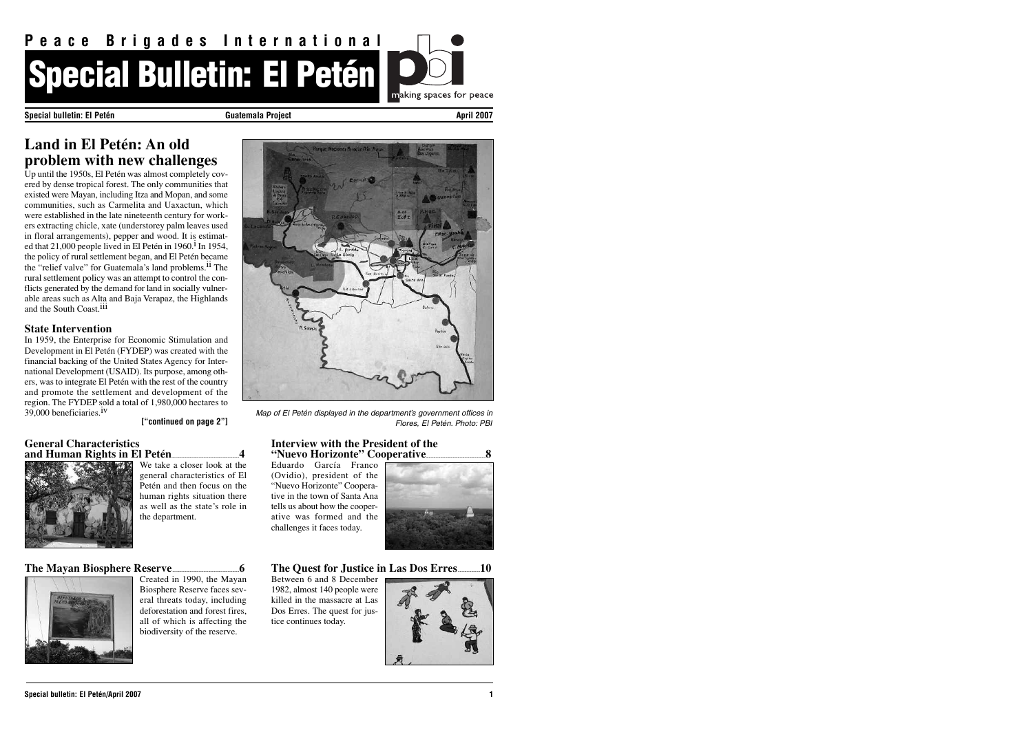## **General Characteristics and Human Rights in El Petén......................................................................4**



We take a closer look at the general characteristics of El Petén and then focus on the human rights situation there as well as the state's role in the department.

## **The Mayan Biosphere Reserve.....................................................................6**



Created in 1990, the Mayan Biosphere Reserve faces several threats today, including deforestation and forest fires, all of which is affecting the biodiversity of the reserve.



#### **Interview with the President of the "Nuevo Horizonte" Cooperative..............................................................8**

Up until the 1950s, El Petén was almost completely covered by dense tropical forest. The only communities that existed were Mayan, including Itza and Mopan, and some communities, such as Carmelita and Uaxactun, which were established in the late nineteenth century for workers extracting chicle, xate (understorey palm leaves used in floral arrangements), pepper and wood. It is estimated that 21,000 people lived in El Petén in 1960.<sup>1</sup> In 1954, the policy of rural settlement began, and El Petén became the "relief valve" for Guatemala's land problems.<sup>11</sup> The rural settlement policy was an attempt to control the conflicts generated by the demand for land in socially vulnerable areas such as Alta and Baja Verapaz, the Highlands and the South Coast.<sup>111</sup>

> Eduardo García Franco (Ovidio), president of the "Nuevo Horizonte" Cooperative in the town of Santa Ana tells us about how the cooperative was formed and the challenges it faces today.



**The Quest for Justice in Las Dos Erres.......................10**

Between 6 and 8 December 1982, almost 140 people were killed in the massacre at Las Dos Erres. The quest for justice continues today.



In 1959, the Enterprise for Economic Stimulation and Development in El Petén (FYDEP) was created with the financial backing of the United States Agency for International Development (USAID). Its purpose, among others, was to integrate El Petén with the rest of the country and promote the settlement and development of the region. The FYDEP sold a total of 1,980,000 hectares to  $39,000$  beneficiaries.<sup>iv</sup>



## **Special bulletin: El Petén Guatemala Project April 2007**

*Map of El Petén displayed in the department's government offices in Flores, El Petén. Photo: PBI*

## **Land in El Petén: An old problem with new challenges**

## **State Intervention**

**["continued on page 2"]**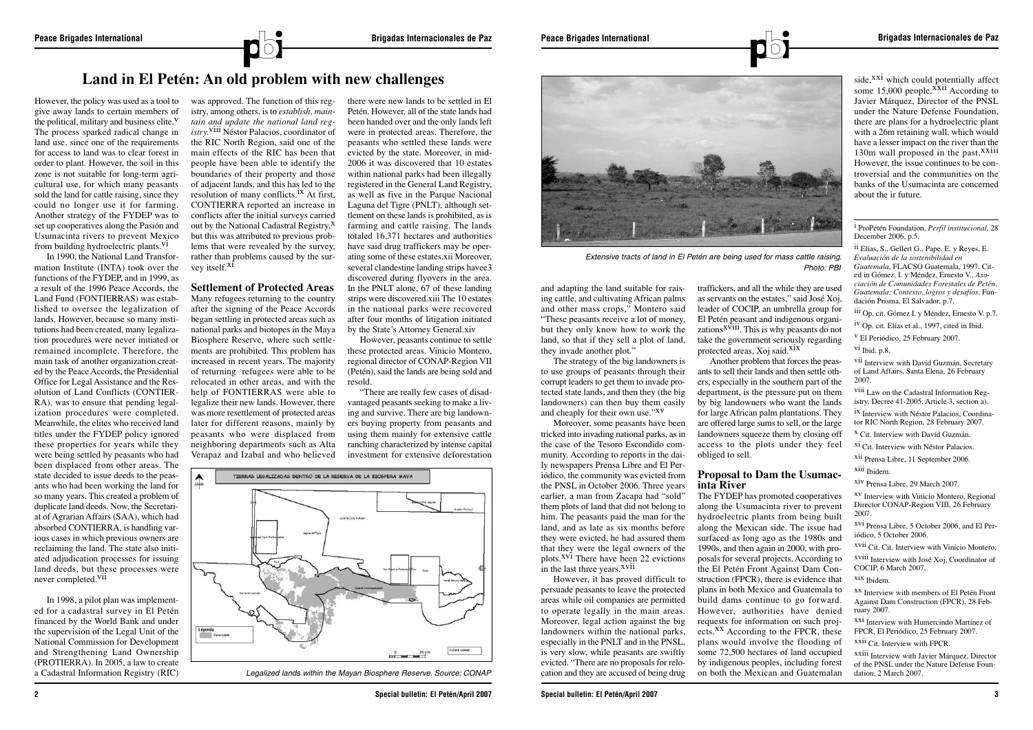was approved. The function of this registry, among others, is to *establish, maintain and update the national land registry.*viii Néstor Palacios, coordinator of the RIC North Region, said one of the main effects of the RIC has been that people have been able to identify the boundaries of their property and those of adjacent lands, and this has led to the resolution of many conflicts.<sup>ix</sup> At first, CONTIERRA reported an increase in conflicts after the initial surveys carried out by the National Cadastral Registry,<sup>X</sup> but this was attributed to previous problems that were revealed by the survey, rather than problems caused by the survey itself.<sup>XI</sup>

In 1990, the National Land Transformation Institute (INTA) took over the functions of the FYDEP, and in 1999, as a result of the 1996 Peace Accords, the Land Fund (FONTIERRAS) was established to oversee the legalization of lands. However, because so many institutions had been created, many legalization procedures were never initiated or remained incomplete. Therefore, the main task of another organization created by the Peace Accords, the Presidential Office for Legal Assistance and the Resolution of Land Conflicts (CONTIER-RA), was to ensure that pending legalization procedures were completed. Meanwhile, the elites who received land titles under the FYDEP policy ignored these properties for years while they were being settled by peasants who had been displaced from other areas. The state decided to issue deeds to the peasants who had been working the land for so many years. This created a problem of duplicate land deeds. Now, the Secretariat of Agrarian Affairs (SAA), which had absorbed CONTIERRA, is handling various cases in which previous owners are reclaiming the land. The state also initiated adjudication processes for issuing land deeds, but these processes were never completed.vii

In 1998, a pilot plan was implemented for a cadastral survey in El Petén financed by the World Bank and under the supervision of the Legal Unit of the National Commission for Development and Strengthening Land Ownership (PROTIERRA). In 2005, a law to create a Cadastral Information Registry (RIC)

Moreover, some peasants have been tricked into invading national parks, as in the case of the Tesoro Escondido community. According to reports in the daily newspapers Prensa Libre and El Periódico, the community was evicted from the PNSL in October 2006. Three years earlier, a man from Zacapa had "sold" them plots of land that did not belong to him. The peasants paid the man for the land, and as late as six months before they were evicted, he had assured them that they were the legal owners of the plots. $X^{V1}$  There have been 22 evictions in the last three years.<sup>XVII</sup>

#### **Settlement of Protected Areas**

Many refugees returning to the country after the signing of the Peace Accords began settling in protected areas such as national parks and biotopes in the Maya Biosphere Reserve, where such settlements are prohibited. This problem has increased in recent years. The majority of returning refugees were able to be relocated in other areas, and with the help of FONTIERRAS were able to legalize their new lands. However, there was more resettlement of protected areas later for different reasons, mainly by peasants who were displaced from neighboring departments such as Alta Verapaz and Izabal and who believed

traffickers, and all the while they are used as servants on the estates," said José Xoj, leader of COCIP, an umbrella group for El Petén peasant and indigenous organizations<sup>xviii</sup>. This is why peasants do not take the government seriously regarding protected areas, Xoj said.<sup>XIX</sup>

there were new lands to be settled in El Petén. However, all of the state lands had been handed over and the only lands left were in protected areas. Therefore, the peasants who settled these lands were evicted by the state. Moreover, in mid-2006 it was discovered that 10 estates within national parks had been illegally registered in the General Land Registry, as well as five in the Parque Nacional Laguna del Tigre (PNLT), although settlement on these lands is prohibited, as is farming and cattle raising. The lands totaled 16,371 hectares and authorities have said drug traffickers may be operating some of these estates.xii Moreover, several clandestine landing strips havee3 discovered during flyovers in the area. In the PNLT alone, 67 of these landing strips were discovered.xiii The 10 estates in the national parks were recovered after four months of litigation initiated by the State's Attorney General.xiv

side, $^{XXi}$  which could potentially affect some  $15,000$  people.<sup> $\overline{x}$ xii According to</sup> Javier Márquez, Director of the PNSL under the Nature Defense Foundation, there are plans for a hydroelectric plant with a 26m retaining wall, which would have a lesser impact on the river than the 130m wall proposed in the past.<sup>XXiii</sup> However, the issue continues to be controversial and the communities on the banks of the Usumacinta are concerned about the ir future.

However, peasants continue to settle these protected areas. Vinicio Montero, regional director of CONAP-Region VII (Petén), said the lands are being sold and resold.

"There are really few cases of disadvantaged peasants seeking to make a living and survive. There are big landowners buying property from peasants and using them mainly for extensive cattle ranching characterized by intense capital investment for extensive deforestation

and adapting the land suitable for raising cattle, and cultivating African palms and other mass crops," Montero said "These peasants receive a lot of money, but they only know how to work the land, so that if they sell a plot of land, they invade another plot."

The strategy of the big landowners is to use groups of peasants through their corrupt leaders to get them to invade protected state lands, and then they (the big landowners) can then buy them easily and cheaply for their own use."xv

However, it has proved difficult to persuade peasants to leave the protected areas while oil companies are permitted to operate legally in the main areas. Moreover, legal action against the big landowners within the national parks, especially in the PNLT and in the PNSL, is very slow, while peasants are swiftly evicted. "There are no proposals for relocation and they are accused of being drug

Another problem that forces the peasants to sell their lands and then settle others, especially in the southern part of the department, is the pressure put on them by big landowners who want the lands for large African palm plantations. They are offered large sums to sell, or the large landowners squeeze them by closing off access to the plots under they feel obliged to sell.

## **Proposal to Dam the Usumacinta River**

The FYDEP has promoted cooperatives along the Usumacinta river to prevent hydroelectric plants from being built along the Mexican side. The issue had surfaced as long ago as the 1980s and 1990s, and then again in 2000, with proposals for several projects. According to the El Petén Front Against Dam Construction (FPCR), there is evidence that plans in both Mexico and Guatemala to build dams continue to go forward. However, authorities have denied requests for information on such projects.<sup>XX</sup> According to the FPCR, these plans would involve the flooding of some 72,500 hectares of land occupied by indigenous peoples, including forest on both the Mexican and Guatemalan i ProPetén Foundation, *Perfil institucional*, 28 December 2006, p.5.

ii Elías, S., Gellert G., Pape, E. y Reyes, E. *Evaluación de la sostenibilidad en Guatemala*, FLACSO Guatemala, 1997. Cited in Gómez, I. y Méndez, Ernesto V., *Asociación de Comunidades Forestales de Petén, Guatemala: Contexto, logros y desafíos*. Fundación Prisma, El Salvador, p.7.

iii Op. cit. Gómez I. y Méndez, Ernesto V. p.7.

iv Op. cit. Elías et al., 1997, cited in Ibid.

v El Periódico, 25 February 2007.

vi Ibid. p.8.

vii Interview with David Guzmán, Secretary of Land Affairs, Santa Elena, 26 February 2007.

viii Law on the Cadastral Information Registry, Decree 41-2005, Article 3, section a).

ix Interview with Néstor Palacios, Coordinator RIC North Region, 28 February 2007.

x Cit. Interview with Davíd Guzmán.

xi Cit. Interview with Néstor Palacios.

xii Prensa Libre, 11 September 2006.

xiii Ibidem.

xiv Prensa Libre, 29 March 2007.

xv Interview with Vinicio Montero, Regional Director CONAP-Region VIII, 26 February 2007.

xvi Prensa Libre, 5 October 2006, and El Periódico, 5 October 2006.

xvii Cit. Cit. Interview with Vinicio Montero.

xviii Interview with José Xoj, Coordinator of COCIP, 6 March 2007.

xix Ibidem.

xx Interview with members of El Petén Front Against Dam Construction (FPCR), 28 February 2007.

xxi Interview with Humercindo Martínez of FPCR, El Periódico, 25 February 2007.

xxii Cit. Interview with FPCR.

xxiii Interview with Javier Márquez, Director of the PNSL under the Nature Defense Foundation, 2 March 2007.



*Legalized lands within the Mayan Biosphere Reserve. Source: CONAP*



*Extensive tracts of land in El Petén are being used for mass cattle raising.*

*Photo: PBI*

# **Land in El Petén: An old problem with new challenges**

However, the policy was used as a tool to give away lands to certain members of the political, military and business elite. $V$ The process sparked radical change in land use, since one of the requirements for access to land was to clear forest in order to plant. However, the soil in this zone is not suitable for long-term agricultural use, for which many peasants sold the land for cattle raising, since they could no longer use it for farming. Another strategy of the FYDEP was to set up cooperatives along the Pasión and Usumacinta rivers to prevent Mexico from building hydroelectric plants. $\overline{v}$ <sup>1</sup>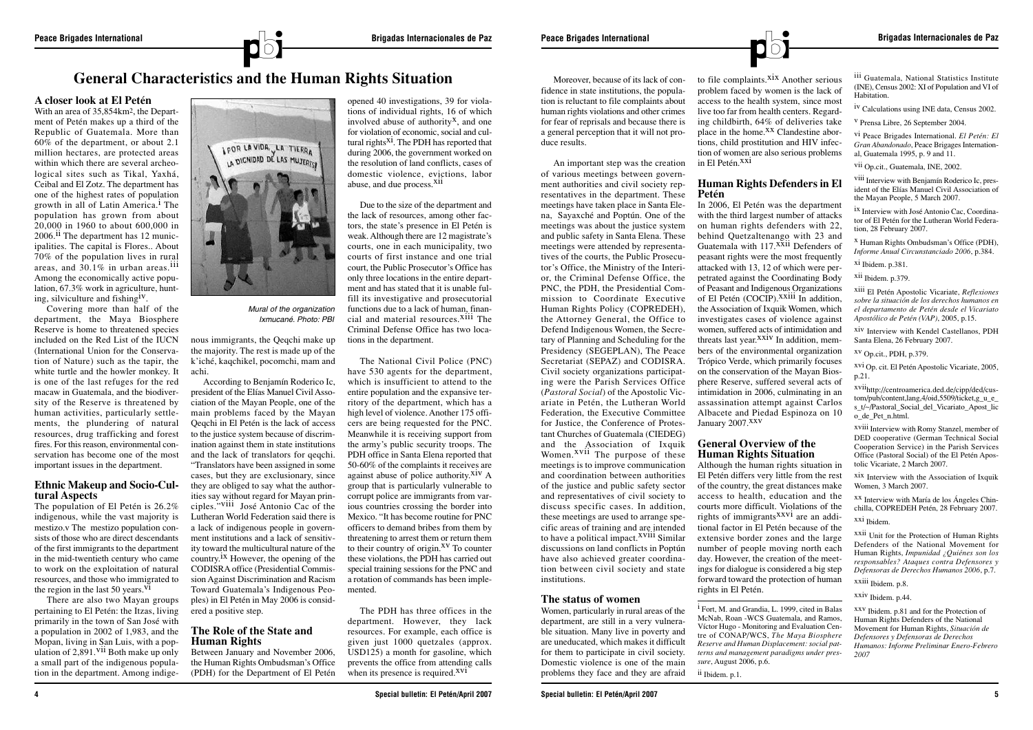

## **A closer look at El Petén**

With an area of 35,854km2, the Department of Petén makes up a third of the Republic of Guatemala. More than 60% of the department, or about 2.1 million hectares, are protected areas within which there are several archeological sites such as Tikal, Yaxhá, Ceibal and El Zotz. The department has one of the highest rates of population growth in all of Latin America.<sup>1</sup> The population has grown from about 20,000 in 1960 to about 600,000 in  $2006$ .<sup>11</sup> The department has 12 municipalities. The capital is Flores.. About 70% of the population lives in rural areas, and  $30.1\%$  in urban areas.<sup>111</sup> Among the economically active population, 67.3% work in agriculture, hunting, silviculture and fishing<sup>1V</sup>.

The population of El Petén is 26.2% indigenous, while the vast majority is mestizo.v The mestizo population consists of those who are direct descendants of the first immigrants to the department in the mid-twentieth century who came to work on the exploitation of natural resources, and those who immigrated to the region in the last 50 years.  $\overline{VI}$ 

Covering more than half of the department, the Maya Biosphere Reserve is home to threatened species included on the Red List of the IUCN (International Union for the Conservation of Nature) such as the tapir, the white turtle and the howler monkey. It is one of the last refuges for the red macaw in Guatemala, and the biodiversity of the Reserve is threatened by human activities, particularly settlements, the plundering of natural resources, drug trafficking and forest fires. For this reason, environmental conservation has become one of the most important issues in the department.

#### **Ethnic Makeup and Socio-Cultural Aspects**

opened 40 investigations, 39 for violations of individual rights, 16 of which involved abuse of authority<sup> $X$ </sup>, and one for violation of economic, social and cultural rights $X^i$ . The PDH has reported that during 2006, the government worked on the resolution of land conflicts, cases of domestic violence, evictions, labor abuse, and due process.<sup>XII</sup>

There are also two Mayan groups pertaining to El Petén: the Itzas, living primarily in the town of San José with a population in 2002 of 1,983, and the Mopan, living in San Luis, with a population of  $2,891.$ <sup>VII</sup> Both make up only a small part of the indigenous population in the department. Among indigenous immigrants, the Qeqchi make up the majority. The rest is made up of the k'iché, kaqchikel, pocomchi, mam and achi.

> The PDH has three offices in the department. However, they lack resources. For example, each office is given just 1000 quetzales (approx. USD125) a month for gasoline, which prevents the office from attending calls when its presence is required.<sup>XVI</sup>

According to Benjamín Roderico Ic, president of the Elías Manuel Civil Association of the Mayan People, one of the main problems faced by the Mayan Qeqchi in El Petén is the lack of access to the justice system because of discrimination against them in state institutions and the lack of translators for qeqchi. "Translators have been assigned in some cases, but they are exclusionary, since they are obliged to say what the authorities say without regard for Mayan principles."viii José Antonio Cac of the Lutheran World Federation said there is a lack of indigenous people in government institutions and a lack of sensitivity toward the multicultural nature of the country. ix However, the opening of the CODISRA office (Presidential Commission Against Discrimination and Racism Toward Guatemala's Indigenous Peoples) in El Petén in May 2006 is considered a positive step.

## **The Role of the State and Human Rights**

Between January and November 2006, the Human Rights Ombudsman's Office (PDH) for the Department of El Petén

Due to the size of the department and the lack of resources, among other factors, the state's presence in El Petén is weak. Although there are 12 magistrate's courts, one in each municipality, two courts of first instance and one trial court, the Public Prosecutor's Office has only three locations in the entire department and has stated that it is unable fulfill its investigative and prosecutorial functions due to a lack of human, financial and material resources.<sup>Xiii</sup> The Criminal Defense Office has two locations in the department.

In 2006, El Petén was the department with the third largest number of attacks on human rights defenders with 22, behind Quetzaltenango with 23 and Guatemala with 117.<sup>XXII</sup> Defenders of peasant rights were the most frequently attacked with 13, 12 of which were perpetrated against the Coordinating Body of Peasant and Indigenous Organizations of El Petén (COCIP).<sup>XXIII</sup> In addition, the Association of Ixquik Women, which investigates cases of violence against women, suffered acts of intimidation and threats last year.<sup>XXIV</sup> In addition, members of the environmental organization Trópico Verde, which primarily focuses on the conservation of the Mayan Biosphere Reserve, suffered several acts of intimidation in 2006, culminating in an assassination attempt against Carlos Albacete and Piedad Espinoza on 10 January 2007.XXV

The National Civil Police (PNC) have 530 agents for the department, which is insufficient to attend to the entire population and the expansive territory of the department, which has a high level of violence. Another 175 officers are being requested for the PNC. Meanwhile it is receiving support from the army's public security troops. The PDH office in Santa Elena reported that 50-60% of the complaints it receives are against abuse of police authority. $X$ <sup>iv</sup> A group that is particularly vulnerable to corrupt police are immigrants from various countries crossing the border into Mexico. "It has become routine for PNC officers to demand bribes from them by threatening to arrest them or return them to their country of origin.<sup>XV</sup> To counter these violations, the PDH has carried out special training sessions for the PNC and a rotation of commands has been implemented.

**4 Special bulletin: El Petén/April 2007**

Moreover, because of its lack of confidence in state institutions, the population is reluctant to file complaints about human rights violations and other crimes for fear of reprisals and because there is a general perception that it will not produce results.

An important step was the creation of various meetings between government authorities and civil society representatives in the department. These meetings have taken place in Santa Elena, Sayaxché and Poptún. One of the meetings was about the justice system and public safety in Santa Elena. These meetings were attended by representatives of the courts, the Public Prosecutor's Office, the Ministry of the Interior, the Criminal Defense Office, the PNC, the PDH, the Presidential Commission to Coordinate Executive Human Rights Policy (COPREDEH), the Attorney General, the Office to Defend Indigenous Women, the Secretary of Planning and Scheduling for the Presidency (SEGEPLAN), The Peace Secretariat (SEPAZ) and CODISRA. Civil society organizations participating were the Parish Services Office (*Pastoral Social*) of the Apostolic Vicariate in Petén, the Lutheran World Federation, the Executive Committee for Justice, the Conference of Protestant Churches of Guatemala (CIEDEG) and the Association of Ixquik Women.<sup>XVII</sup> The purpose of these meetings is to improve communication and coordination between authorities of the justice and public safety sector and representatives of civil society to discuss specific cases. In addition, these meetings are used to arrange specific areas of training and are intended to have a political impact.<sup>XVIII</sup> Similar discussions on land conflicts in Poptún have also achieved greater coordination between civil society and state institutions.

## **The status of women**

Women, particularly in rural areas of the department, are still in a very vulnerable situation. Many live in poverty and are uneducated, which makes it difficult for them to participate in civil society. Domestic violence is one of the main problems they face and they are afraid to file complaints.<sup>XIX</sup> Another serious problem faced by women is the lack of access to the health system, since most live too far from health centers. Regarding childbirth, 64% of deliveries take place in the home.<sup>XX</sup> Clandestine abortions, child prostitution and HIV infection of women are also serious problems in El Petén.<sup>XXI</sup>

#### **Human Rights Defenders in El Petén**

## **General Overview of the Human Rights Situation**

Although the human rights situation in El Petén differs very little from the rest of the country, the great distances make access to health, education and the courts more difficult. Violations of the rights of immigrants<sup> $XXVi$ </sup> are an additional factor in El Petén because of the extensive border zones and the large number of people moving north each day. However, the creation of the meetings for dialogue is considered a big step forward toward the protection of human rights in El Petén.

i Fort, M. and Grandia, L. 1999, cited in Balas McNab, Roan -WCS Guatemala, and Ramos, Víctor Hugo - Monitoring and Evaluation Centre of CONAP/WCS, *The Maya Biosphere Reserve and Human Displacement: social patterns and management paradigms under pressure*, August 2006, p.6.

<sup>ii</sup> Ibidem. p.1.

iii Guatemala, National Statistics Institute (INE), Census 2002: XI of Population and VI of Habitation.

iv Calculations using INE data, Census 2002.

v Prensa Libre, 26 September 2004.

vi Peace Brigades International. *El Petén: El Gran Abandonado*, Peace Brigages International, Guatemala 1995, p. 9 and 11.

vii Op.cit., Guatemala, INE, 2002.

viii Interview with Benjamín Roderico Ic, president of the Elías Manuel Civil Association of the Mayan People, 5 March 2007.

ix Interview with José Antonio Cac, Coordinator of El Petén for the Lutheran World Federation, 28 February 2007.

x Human Rights Ombudsman's Office (PDH), *Informe Anual Circunstanciado 2006*, p.384.

xi Ibidem. p.381.

xii Ibidem. p.379.

xiii El Petén Apostolic Vicariate, *Reflexiones sobre la situación de los derechos humanos en el departamento de Petén desde el Vicariato Apostólico de Petén (VAP)*, 2005, p.15.

xiv Interview with Kendel Castellanos, PDH Santa Elena, 26 February 2007.

xv Op.cit., PDH, p.379.

xvi Op. cit. El Petén Apostolic Vicariate, 2005, p.21.

xviihttp://centroamerica.ded.de/cipp/ded/custom/pub/content,lang,4/oid,5509/ticket,g\_u\_e\_ s  $t$ /~/Pastoral\_Social\_del\_Vicariato\_Apost\_lic o\_de\_Pet\_n.html.

xviii Interview with Romy Stanzel, member of DED cooperative (German Technical Social Cooperation Service) in the Parish Services Office (Pastoral Social) of the El Petén Apostolic Vicariate, 2 March 2007.

xix Interview with the Association of Ixquik Women, 3 March 2007.

xx Interview with María de los Ángeles Chinchilla, COPREDEH Petén, 28 February 2007. xxi Ibidem.

xxii Unit for the Protection of Human Rights Defenders of the National Movement for Human Rights, *Impunidad ¿Quiénes son los responsables? Ataques contra Defensores y Defensoras de Derechos Humanos 2006*, p.7.

xxiii Ibidem. p.8.

xxiv Ibidem. p.44.

xxv Ibidem. p.81 and for the Protection of Human Rights Defenders of the National Movement for Human Rights, *Situación de Defensores y Defensoras de Derechos Humanos: Informe Preliminar Enero-Febrero 2007*

# **General Characteristics and the Human Rights Situation**



*Mural of the organization Ixmucané. Photo: PBI*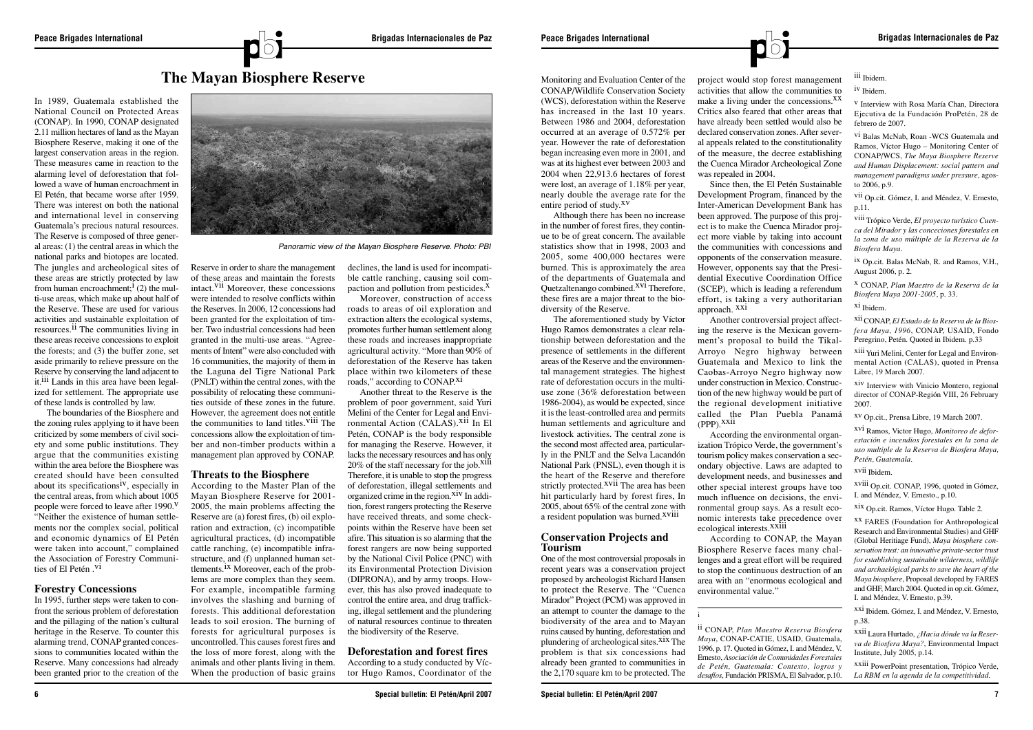

In 1989, Guatemala established the National Council on Protected Areas (CONAP). In 1990, CONAP designated 2.11 million hectares of land as the Mayan Biosphere Reserve, making it one of the largest conservation areas in the region. These measures came in reaction to the alarming level of deforestation that followed a wave of human encroachment in El Petén, that became worse after 1959. There was interest on both the national and international level in conserving Guatemala's precious natural resources. The Reserve is composed of three general areas: (1) the central areas in which the national parks and biotopes are located. The jungles and archeological sites of these areas are strictly protected by law from human encroachment;<sup>1</sup> (2) the multi-use areas, which make up about half of the Reserve. These are used for various activities and sustainable exploitation of resources.<sup>11</sup> The communities living in these areas receive concessions to exploit the forests; and (3) the buffer zone, set aside primarily to relieve pressure on the Reserve by conserving the land adjacent to it.<sup>111</sup> Lands in this area have been legalized for settlement. The appropriate use of these lands is controlled by law.

The boundaries of the Biosphere and the zoning rules applying to it have been criticized by some members of civil society and some public institutions. They argue that the communities existing within the area before the Biosphere was created should have been consulted about its specifications<sup>iv</sup>, especially in the central areas, from which about 1005 people were forced to leave after  $1990$ .<sup>V</sup> "Neither the existence of human settlements nor the complex social, political and economic dynamics of El Petén were taken into account," complained the Association of Forestry Communities of El Petén .<sup>vi</sup>

According to the Master Plan of the Mayan Biosphere Reserve for 2001- 2005, the main problems affecting the Reserve are (a) forest fires, (b) oil exploration and extraction, (c) incompatible agricultural practices, (d) incompatible cattle ranching, (e) incompatible infrastructure, and (f) unplanned human settlements.<sup>1X</sup> Moreover, each of the problems are more complex than they seem. For example, incompatible farming involves the slashing and burning of forests. This additional deforestation leads to soil erosion. The burning of forests for agricultural purposes is uncontrolled. This causes forest fires and the loss of more forest, along with the animals and other plants living in them. When the production of basic grains

## **Forestry Concessions**

declines, the land is used for incompatible cattle ranching, causing soil compaction and pollution from pesticides. $X$ 

Moreover, construction of access roads to areas of oil exploration and extraction alters the ecological systems, promotes further human settlement along these roads and increases inappropriate agricultural activity. "More than 90% of deforestation of the Reserve has taken place within two kilometers of these place which two knowledges

In 1995, further steps were taken to confront the serious problem of deforestation and the pillaging of the nation's cultural heritage in the Reserve. To counter this alarming trend, CONAP granted concessions to communities located within the Reserve. Many concessions had already been granted prior to the creation of the Reserve in order to share the management of these areas and maintain the forests intact.<sup>V11</sup> Moreover, these concessions were intended to resolve conflicts within the Reserves. In 2006, 12 concessions had been granted for the exploitation of timber. Two industrial concessions had been granted in the multi-use areas. "Agreements of Intent" were also concluded with 16 communities, the majority of them in the Laguna del Tigre National Park (PNLT) within the central zones, with the possibility of relocating these communities outside of these zones in the future. However, the agreement does not entitle the communities to land titles. VIII The concessions allow the exploitation of timber and non-timber products within a management plan approved by CONAP.

#### **Threats to the Biosphere**

The aforementioned study by Víctor Hugo Ramos demonstrates a clear relationship between deforestation and the presence of settlements in the different areas of the Reserve and the environmental management strategies. The highest rate of deforestation occurs in the multiuse zone (36% deforestation between 1986-2004), as would be expected, since it is the least-controlled area and permits human settlements and agriculture and livestock activities. The central zone is the second most affected area, particularly in the PNLT and the Selva Lacandón National Park (PNSL), even though it is the heart of the Reserve and therefore strictly protected.<sup>XVII</sup> The area has been hit particularly hard by forest fires, In 2005, about 65% of the central zone with a resident population was burned.<sup>XVIII</sup>

According the environmental organization Trópico Verde, the government's tourism policy makes conservation a secondary objective. Laws are adapted to development needs, and businesses and other special interest groups have too much influence on decisions, the environmental group says. As a result economic interests take precedence over ecological interests.<sup>XXIII</sup>

Another threat to the Reserve is the problem of poor government, said Yuri Melini of the Center for Legal and Environmental Action (CALAS).<sup>XII</sup> In El Petén, CONAP is the body responsible for managing the Reserve. However, it lacks the necessary resources and has only  $20\%$  of the staff necessary for the job.<sup>X111</sup> Therefore, it is unable to stop the progress of deforestation, illegal settlements and organized crime in the region.<sup>XIV</sup> In addition, forest rangers protecting the Reserve have received threats, and some checkpoints within the Reserve have been set afire. This situation is so alarming that the forest rangers are now being supported by the National Civil Police (PNC) with its Environmental Protection Division (DIPRONA), and by army troops. However, this has also proved inadequate to control the entire area, and drug trafficking, illegal settlement and the plundering of natural resources continue to threaten the biodiversity of the Reserve.

## **Deforestation and forest fires**

According to a study conducted by Víctor Hugo Ramos, Coordinator of the Monitoring and Evaluation Center of the CONAP/Wildlife Conservation Society (WCS), deforestation within the Reserve has increased in the last 10 years. Between 1986 and 2004, deforestation occurred at an average of 0.572% per year. However the rate of deforestation began increasing even more in 2001, and was at its highest ever between 2003 and 2004 when 22,913.6 hectares of forest were lost, an average of 1.18% per year, nearly double the average rate for the entire period of study.xv

Although there has been no increase in the number of forest fires, they continue to be of great concern. The available statistics show that in 1998, 2003 and 2005, some 400,000 hectares were burned. This is approximately the area of the departments of Guatemala and Quetzaltenango combined.<sup>XV1</sup> Therefore, these fires are a major threat to the biodiversity of the Reserve.

#### **Conservation Projects and Tourism**

One of the most controversial proposals in recent years was a conservation project proposed by archeologist Richard Hansen to protect the Reserve. The "Cuenca Mirador" Project (PCM) was approved in an attempt to counter the damage to the biodiversity of the area and to Mayan ruins caused by hunting, deforestation and plundering of archeological sites. $X$ <sup>ix</sup> The problem is that six concessions had already been granted to communities in the 2,170 square km to be protected. The

project would stop forest management activities that allow the communities to make a living under the concessions. $X^X$ Critics also feared that other areas that have already been settled would also be declared conservation zones. After several appeals related to the constitutionality of the measure, the decree establishing the Cuenca Mirador Archeological Zone was repealed in 2004.

Since then, the El Petén Sustainable Development Program, financed by the Inter-American Development Bank has been approved. The purpose of this project is to make the Cuenca Mirador project more viable by taking into account the communities with concessions and opponents of the conservation measure. However, opponents say that the Presidential Executive Coordination Office (SCEP), which is leading a referendum effort, is taking a very authoritarian approach. xxi

Another controversial project affecting the reserve is the Mexican government's proposal to build the Tikal-Arroyo Negro highway between Guatemala and Mexico to link the Caobas-Arroyo Negro highway now under construction in Mexico. Construction of the new highway would be part of the regional development initiative called the Plan Puebla Panamá (PPP).xxii

According to CONAP, the Mayan Biosphere Reserve faces many challenges and a great effort will be required to stop the continuous destruction of an area with an "enormous ecological and environmental value."

i

ii CONAP, *Plan Maestro Reserva Biosfera Maya*, CONAP-CATIE, USAID, Guatemala, 1996, p. 17. Quoted in Gómez, I. and Méndez, V. Ernesto, *Asociación de Comunidades Forestales de Petén, Guatemala: Contexto, logros y desafíos*, Fundación PRISMA, El Salvador, p.10.

iii Ibidem.

iv Ibidem.

v Interview with Rosa María Chan, Directora Ejecutiva de la Fundación ProPetén, 28 de febrero de 2007.

vi Balas McNab, Roan -WCS Guatemala and Ramos, Víctor Hugo – Monitoring Center of CONAP/WCS, *The Maya Biosphere Reserve and Human Displacement: social pattern and management paradigms under pressure*, agosto 2006, p.9.

vii Op.cit. Gómez, I. and Méndez, V. Ernesto, p.11.

viii Trópico Verde, *El proyecto turístico Cuenca del Mirador y las conceciones forestales en la zona de uso múltiple de la Reserva de la Biosfera Maya*.

ix Op.cit. Balas McNab, R. and Ramos, V.H., August 2006, p. 2.

x CONAP, *Plan Maestro de la Reserva de la Biosfera Maya 2001-2005*, p. 33.

xi Ibidem.

xii CONAP, *El Estado de la Reserva de la Biosfera Maya, 1996*, CONAP, USAID, Fondo Peregrino, Petén. Quoted in Ibidem. p.33

xiii Yuri Melini, Center for Legal and Environmental Action (CALAS), quoted in Prensa Libre, 19 March 2007.

xiv Interview with Vinicio Montero, regional director of CONAP-Región VIII, 26 February 2007.

xv Op.cit., Prensa Libre, 19 March 2007.

xvi Ramos, Victor Hugo, *Monitoreo de deforestación e incendios forestales en la zona de uso multiple de la Reserva de Biosfera Maya, Petén, Guatemala*.

xvii Ibidem.

xviii Op.cit. CONAP, 1996, quoted in Gómez, I. and Méndez, V. Ernesto., p.10.

xix Op.cit. Ramos, Víctor Hugo. Table 2.

xx FARES (Foundation for Anthropological Research and Environmental Studies) and GHF (Global Heritiage Fund), *Maya biosphere conservation trust: an innovative private-sector trust for establishing sustainable wilderness, wildlife and archaelógical parks to save the heart of the Maya biosphere*, Proposal developed by FARES and GHF, March 2004. Quoted in op.cit. Gómez, I. and Méndez, V. Ernesto, p.39.

xxi Ibidem. Gómez, I. and Méndez, V. Ernesto, p.38.

xxii Laura Hurtado, *¿Hacia dónde va la Reserva de Biosfera Maya?*, Environmental Impact Institute, July 2005, p.14.

xxiii PowerPoint presentation, Trópico Verde, *La RBM en la agenda de la competitividad*.



*Panoramic view of the Mayan Biosphere Reserve. Photo: PBI*

# **The Mayan Biosphere Reserve**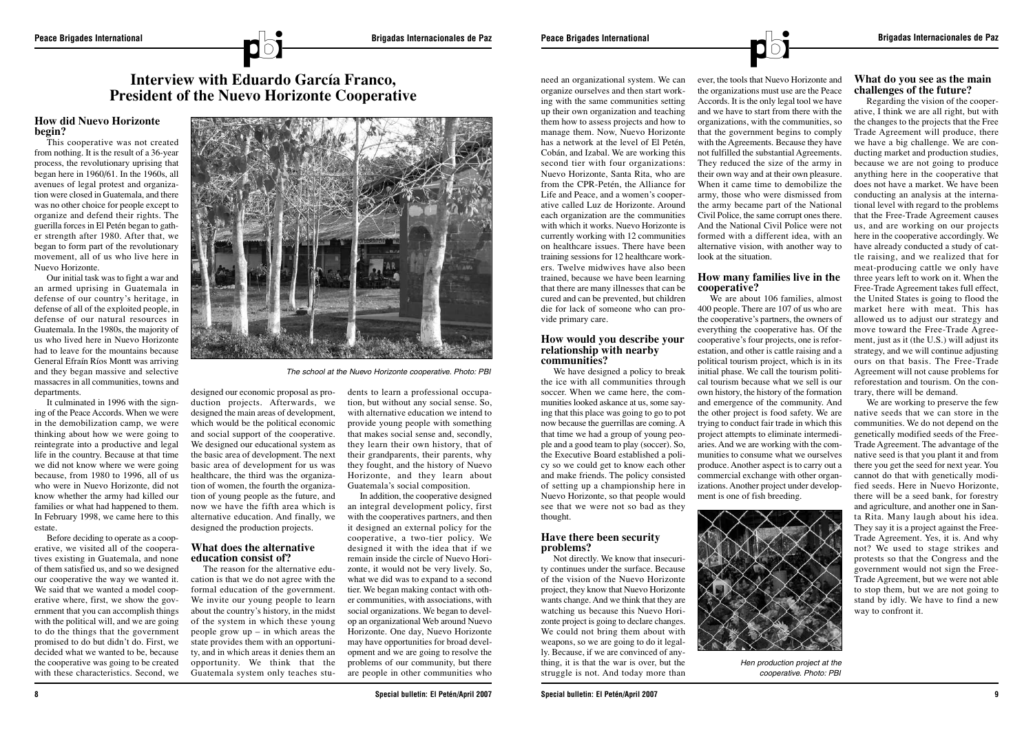

### **How did Nuevo Horizonte begin?**

This cooperative was not created from nothing. It is the result of a 36-year process, the revolutionary uprising that began here in 1960/61. In the 1960s, all avenues of legal protest and organization were closed in Guatemala, and there was no other choice for people except to organize and defend their rights. The guerilla forces in El Petén began to gather strength after 1980. After that, we began to form part of the revolutionary movement, all of us who live here in Nuevo Horizonte.

It culminated in 1996 with the signing of the Peace Accords. When we were in the demobilization camp, we were thinking about how we were going to reintegrate into a productive and legal life in the country. Because at that time we did not know where we were going because, from 1980 to 1996, all of us who were in Nuevo Horizonte, did not know whether the army had killed our families or what had happened to them. In February 1998, we came here to this estate.

Our initial task was to fight a war and an armed uprising in Guatemala in defense of our country's heritage, in defense of all of the exploited people, in defense of our natural resources in Guatemala. In the 1980s, the majority of us who lived here in Nuevo Horizonte had to leave for the mountains because General Efraín Ríos Montt was arriving and they began massive and selective massacres in all communities, towns and departments.

Before deciding to operate as a cooperative, we visited all of the cooperatives existing in Guatemala, and none of them satisfied us, and so we designed our cooperative the way we wanted it. We said that we wanted a model cooperative where, first, we show the government that you can accomplish things with the political will, and we are going to do the things that the government promised to do but didn't do. First, we decided what we wanted to be, because the cooperative was going to be created with these characteristics. Second, we designed our economic proposal as production projects. Afterwards, we designed the main areas of development, which would be the political economic and social support of the cooperative. We designed our educational system as the basic area of development. The next basic area of development for us was healthcare, the third was the organization of women, the fourth the organization of young people as the future, and now we have the fifth area which is alternative education. And finally, we designed the production projects.

## **What does the alternative education consist of?**

The reason for the alternative education is that we do not agree with the formal education of the government. We invite our young people to learn about the country's history, in the midst of the system in which these young people grow  $up$  – in which areas the state provides them with an opportunity, and in which areas it denies them an opportunity. We think that the Guatemala system only teaches stu-

dents to learn a professional occupation, but without any social sense. So, with alternative education we intend to provide young people with something that makes social sense and, secondly, they learn their own history, that of their grandparents, their parents, why they fought, and the history of Nuevo Horizonte, and they learn about Guatemala's social composition.

In addition, the cooperative designed an integral development policy, first with the cooperatives partners, and then it designed an external policy for the cooperative, a two-tier policy. We designed it with the idea that if we remain inside the circle of Nuevo Horizonte, it would not be very lively. So, what we did was to expand to a second tier. We began making contact with other communities, with associations, with social organizations. We began to develop an organizational Web around Nuevo Horizonte. One day, Nuevo Horizonte may have opportunities for broad development and we are going to resolve the problems of our community, but there are people in other communities who

need an organizational system. We can organize ourselves and then start working with the same communities setting up their own organization and teaching them how to assess projects and how to manage them. Now, Nuevo Horizonte has a network at the level of El Petén, Cobán, and Izabal. We are working this second tier with four organizations: Nuevo Horizonte, Santa Rita, who are from the CPR-Petén, the Alliance for Life and Peace, and a women's cooperative called Luz de Horizonte. Around each organization are the communities with which it works. Nuevo Horizonte is currently working with 12 communities on healthcare issues. There have been training sessions for 12 healthcare workers. Twelve midwives have also been trained, because we have been learning that there are many illnesses that can be cured and can be prevented, but children die for lack of someone who can provide primary care.

#### **How would you describe your relationship with nearby communities?**

We have designed a policy to break the ice with all communities through soccer. When we came here, the communities looked askance at us, some saying that this place was going to go to pot now because the guerrillas are coming. A that time we had a group of young people and a good team to play (soccer). So, the Executive Board established a policy so we could get to know each other and make friends. The policy consisted of setting up a championship here in Nuevo Horizonte, so that people would see that we were not so bad as they thought.

## **Have there been security problems?**

Not directly. We know that insecurity continues under the surface. Because of the vision of the Nuevo Horizonte project, they know that Nuevo Horizonte wants change. And we think that they are watching us because this Nuevo Horizonte project is going to declare changes. We could not bring them about with weapons, so we are going to do it legally. Because, if we are convinced of anything, it is that the war is over, but the struggle is not. And today more than ever, the tools that Nuevo Horizonte and the organizations must use are the Peace Accords. It is the only legal tool we have and we have to start from there with the organizations, with the communities, so that the government begins to comply with the Agreements. Because they have not fulfilled the substantial Agreements. They reduced the size of the army in their own way and at their own pleasure. When it came time to demobilize the army, those who were dismissed from the army became part of the National Civil Police, the same corrupt ones there. And the National Civil Police were not formed with a different idea, with an alternative vision, with another way to look at the situation.

## **How many families live in the cooperative?**

We are about 106 families, almost 400 people. There are 107 of us who are the cooperative's partners, the owners of everything the cooperative has. Of the cooperative's four projects, one is reforestation, and other is cattle raising and a political tourism project, which is in its initial phase. We call the tourism political tourism because what we sell is our own history, the history of the formation and emergence of the community. And the other project is food safety. We are trying to conduct fair trade in which this project attempts to eliminate intermediaries. And we are working with the communities to consume what we ourselves produce. Another aspect is to carry out a commercial exchange with other organizations. Another project under development is one of fish breeding.

## **What do you see as the main challenges of the future?**

Regarding the vision of the cooperative, I think we are all right, but with the changes to the projects that the Free Trade Agreement will produce, there we have a big challenge. We are conducting market and production studies, because we are not going to produce anything here in the cooperative that does not have a market. We have been conducting an analysis at the international level with regard to the problems that the Free-Trade Agreement causes us, and are working on our projects here in the cooperative accordingly. We have already conducted a study of cattle raising, and we realized that for meat-producing cattle we only have three years left to work on it. When the Free-Trade Agreement takes full effect, the United States is going to flood the market here with meat. This has allowed us to adjust our strategy and move toward the Free-Trade Agreement, just as it (the U.S.) will adjust its strategy, and we will continue adjusting ours on that basis. The Free-Trade Agreement will not cause problems for reforestation and tourism. On the contrary, there will be demand.

We are working to preserve the few native seeds that we can store in the communities. We do not depend on the genetically modified seeds of the Free-Trade Agreement. The advantage of the native seed is that you plant it and from there you get the seed for next year. You cannot do that with genetically modified seeds. Here in Nuevo Horizonte, there will be a seed bank, for forestry and agriculture, and another one in Santa Rita. Many laugh about his idea. They say it is a project against the Free-Trade Agreement. Yes, it is. And why not? We used to stage strikes and protests so that the Congress and the government would not sign the Free-Trade Agreement, but we were not able to stop them, but we are not going to stand by idly. We have to find a new way to confront it.



*The school at the Nuevo Horizonte cooperative. Photo: PBI*

## **Interview with Eduardo García Franco, President of the Nuevo Horizonte Cooperative**



*Hen production project at the cooperative. Photo: PBI*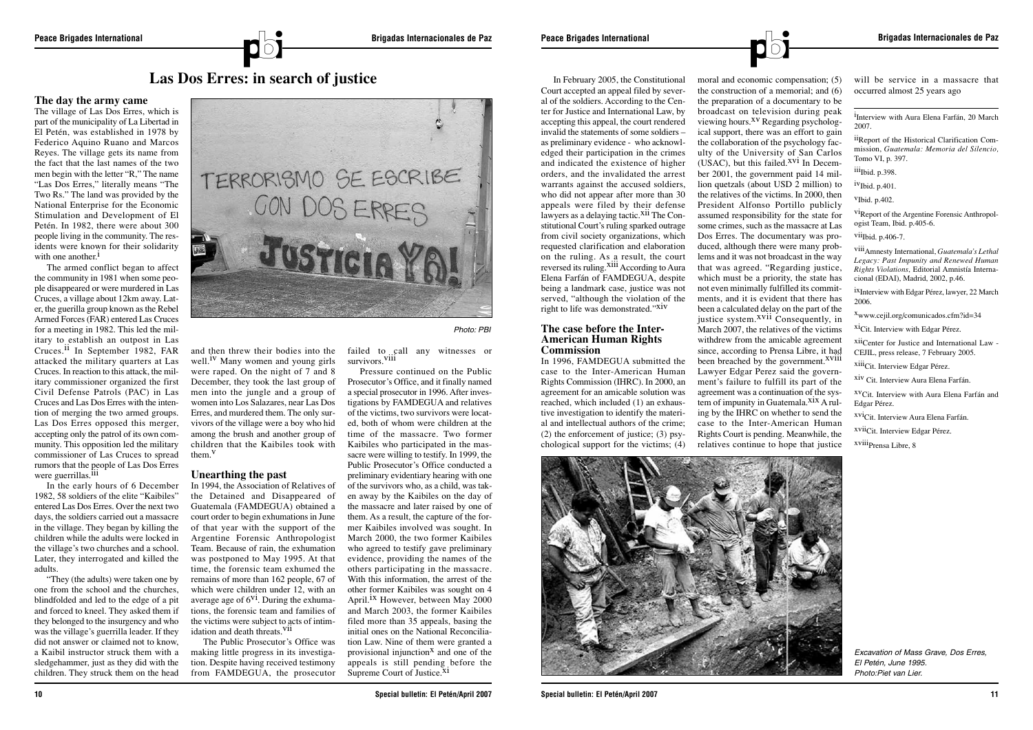

## **The day the army came**

The village of Las Dos Erres, which is part of the municipality of La Libertad in El Petén, was established in 1978 by Federico Aquino Ruano and Marcos Reyes. The village gets its name from the fact that the last names of the two men begin with the letter "R," The name "Las Dos Erres," literally means "The Two Rs." The land was provided by the National Enterprise for the Economic Stimulation and Development of El Petén. In 1982, there were about 300 people living in the community. The residents were known for their solidarity with one another.<sup>1</sup>

The armed conflict began to affect the community in 1981 when some people disappeared or were murdered in Las Cruces, a village about 12km away. Later, the guerilla group known as the Rebel Armed Forces (FAR) entered Las Cruces for a meeting in 1982. This led the military to establish an outpost in Las Cruces.<sup>11</sup> In September 1982, FAR attacked the military quarters at Las Cruces. In reaction to this attack, the military commissioner organized the first Civil Defense Patrols (PAC) in Las Cruces and Las Dos Erres with the intention of merging the two armed groups. Las Dos Erres opposed this merger, accepting only the patrol of its own community. This opposition led the military commissioner of Las Cruces to spread rumors that the people of Las Dos Erres were guerrillas.<sup>III</sup>

well.<sup> $\scriptstyle{1V}$ </sup> Many women and young girls were raped. On the night of 7 and 8 December, they took the last group of men into the jungle and a group of women into Los Salazares, near Las Dos Erres, and murdered them. The only survivors of the village were a boy who hid among the brush and another group of children that the Kaibiles took with them.v

In 1994, the Association of Relatives of the Detained and Disappeared of Guatemala (FAMDEGUA) obtained a court order to begin exhumations in June of that year with the support of the Argentine Forensic Anthropologist Team. Because of rain, the exhumation was postponed to May 1995. At that time, the forensic team exhumed the remains of more than 162 people, 67 of which were children under 12, with an average age of  $6<sup>vi</sup>$ . During the exhumations, the forensic team and families of the victims were subject to acts of intimidation and death threats.<sup>VII</sup>

In the early hours of 6 December 1982, 58 soldiers of the elite "Kaibiles" entered Las Dos Erres. Over the next two days, the soldiers carried out a massacre in the village. They began by killing the children while the adults were locked in the village's two churches and a school. Later, they interrogated and killed the adults.

Pressure continued on the Public Prosecutor's Office, and it finally named a special prosecutor in 1996. After investigations by FAMDEGUA and relatives of the victims, two survivors were located, both of whom were children at the time of the massacre. Two former Kaibiles who participated in the massacre were willing to testify. In 1999, the Public Prosecutor's Office conducted a preliminary evidentiary hearing with one of the survivors who, as a child, was taken away by the Kaibiles on the day of the massacre and later raised by one of them. As a result, the capture of the former Kaibiles involved was sought. In March 2000, the two former Kaibiles who agreed to testify gave preliminary evidence, providing the names of the others participating in the massacre. With this information, the arrest of the other former Kaibiles was sought on 4 April.<sup>1X</sup> However, between May 2000 and March 2003, the former Kaibiles filed more than 35 appeals, basing the initial ones on the National Reconciliation Law. Nine of them were granted a provisional injunction<sup> $X$ </sup> and one of the appeals is still pending before the Supreme Court of Justice.<sup>XI</sup>

"They (the adults) were taken one by one from the school and the churches, blindfolded and led to the edge of a pit and forced to kneel. They asked them if they belonged to the insurgency and who was the village's guerrilla leader. If they did not answer or claimed not to know, a Kaibil instructor struck them with a sledgehammer, just as they did with the children. They struck them on the head



In February 2005, the Constitutional Court accepted an appeal filed by several of the soldiers. According to the Center for Justice and International Law, by accepting this appeal, the court rendered invalid the statements of some soldiers – as preliminary evidence - who acknowledged their participation in the crimes and indicated the existence of higher orders, and the invalidated the arrest warrants against the accused soldiers, who did not appear after more than 30 appeals were filed by their defense lawyers as a delaying tactic.<sup>Xii</sup> The Constitutional Court's ruling sparked outrage from civil society organizations, which requested clarification and elaboration on the ruling. As a result, the court reversed its ruling.<sup>Xiii</sup> According to Aura Elena Farfán of FAMDEGUA, despite being a landmark case, justice was not served, "although the violation of the right to life was demonstrated."XIV

#### **Unearthing the past**

and then threw their bodies into the failed to call any witnesses or survivors.viii

The Public Prosecutor's Office was making little progress in its investigation. Despite having received testimony from FAMDEGUA, the prosecutor

<sup>i</sup>Interview with Aura Elena Farfán, 20 March 2007.

**10 Special bulletin: El Petén/April 2007**

#### **The case before the Inter-American Human Rights Commission**

In 1996, FAMDEGUA submitted the case to the Inter-American Human Rights Commission (IHRC). In 2000, an agreement for an amicable solution was reached, which included (1) an exhaustive investigation to identify the material and intellectual authors of the crime; (2) the enforcement of justice; (3) psychological support for the victims; (4)

moral and economic compensation; (5) the construction of a memorial; and (6) the preparation of a documentary to be broadcast on television during peak viewing hours.<sup>XV</sup> Regarding psychological support, there was an effort to gain the collaboration of the psychology faculty of the University of San Carlos (USAC), but this failed. $XVI$  In December 2001, the government paid 14 million quetzals (about USD 2 million) to the relatives of the victims. In 2000, then President Alfonso Portillo publicly assumed responsibility for the state for some crimes, such as the massacre at Las Dos Erres. The documentary was produced, although there were many problems and it was not broadcast in the way that was agreed. "Regarding justice, which must be a priority, the state has not even minimally fulfilled its commitments, and it is evident that there has been a calculated delay on the part of the iustice system. $XV$ <sup>ii</sup> Consequently, in March 2007, the relatives of the victims withdrew from the amicable agreement since, according to Prensa Libre, it had been breached by the government.<sup>XVIII</sup> Lawyer Edgar Perez said the government's failure to fulfill its part of the agreement was a continuation of the system of impunity in Guatemala.<sup>XIX</sup> A ruling by the IHRC on whether to send the case to the Inter-American Human Rights Court is pending. Meanwhile, the relatives continue to hope that justice



**Special bulletin: El Petén/April 2007** 11

will be service in a massacre that occurred almost 25 years ago

iiReport of the Historical Clarification Commission, *Guatemala: Memoria del Silencio,* Tomo VI, p. 397.

iii<sub>Ibid. p.398.</sub>

ivIbid. p.401.

vIbid. p.402.

viReport of the Argentine Forensic Anthropologist Team, Ibid. p.405-6.

 $vii$ Ibid. p. 406-7.

viiiAmnesty International, *Guatemala's Lethal Legacy: Past Impunity and Renewed Human Rights Violations*, Editorial Amnistía Internacional (EDAI), Madrid, 2002, p.46.

ixInterview with Edgar Pérez, lawyer, 22 March 2006.

xwww.cejil.org/comunicados.cfm?id=34

xiCit. Interview with Edgar Pérez.

xiiCenter for Justice and International Law - CEJIL, press release, 7 February 2005.

xiiiCit. Interview Edgar Pérez.

xiv Cit. Interview Aura Elena Farfán.

xvCit. Interview with Aura Elena Farfán and Edgar Pérez.

xviCit. Interview Aura Elena Farfán.

xviiCit. Interview Edgar Pérez.

xviiiPrensa Libre, 8

*Photo: PBI*

# **Las Dos Erres: in search of justice**

*Excavation of Mass Grave, Dos Erres, El Petén, June 1995. Photo:Piet van Lier.*